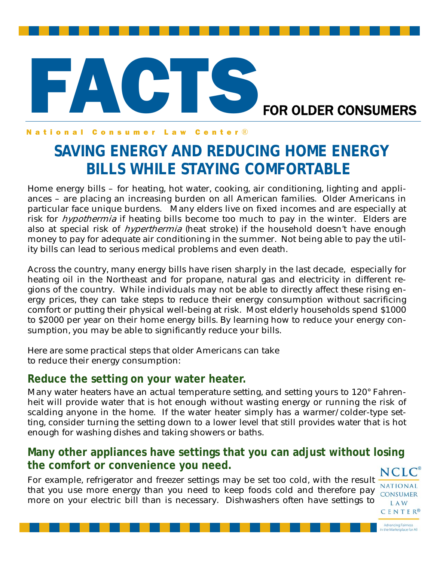# FACTS. FOR OLDER CONSUMERS

#### **National Consumer Law** Center<sup>®</sup>

## **SAVING ENERGY AND REDUCING HOME ENERGY BILLS WHILE STAYING COMFORTABLE**

Home energy bills – for heating, hot water, cooking, air conditioning, lighting and appliances – are placing an increasing burden on all American families. Older Americans in particular face unique burdens. Many elders live on fixed incomes and are especially at risk for *hypothermia* if heating bills become too much to pay in the winter. Elders are also at special risk of *hyperthermia* (heat stroke) if the household doesn't have enough money to pay for adequate air conditioning in the summer. Not being able to pay the utility bills can lead to serious medical problems and even death.

Across the country, many energy bills have risen sharply in the last decade, especially for heating oil in the Northeast and for propane, natural gas and electricity in different regions of the country. While individuals may not be able to directly affect these rising energy prices, they can take steps to reduce their energy consumption without sacrificing comfort or putting their physical well-being at risk. Most elderly households spend \$1000 to \$2000 per year on their home energy bills. By learning how to reduce your energy consumption, you may be able to significantly reduce your bills.

Here are some practical steps that older Americans can take to reduce their energy consumption:

#### **Reduce the setting on your water heater.**

Many water heaters have an actual temperature setting, and setting yours to 120° Fahrenheit will provide water that is hot enough without wasting energy or running the risk of scalding anyone in the home. If the water heater simply has a warmer/colder-type setting, consider turning the setting down to a lower level that still provides water that is hot enough for washing dishes and taking showers or baths.

#### **Many other appliances have settings that you can adjust without losing the comfort or convenience you need. NCLC**

For example, refrigerator and freezer settings may be set too cold, with the result that you use more energy than you need to keep foods cold and therefore pay more on your electric bill than is necessary. Dishwashers often have settings to

**NATIONAL CONSUMER LAW CENTER®** 

Advancing Fairness<br>the Marketplace for All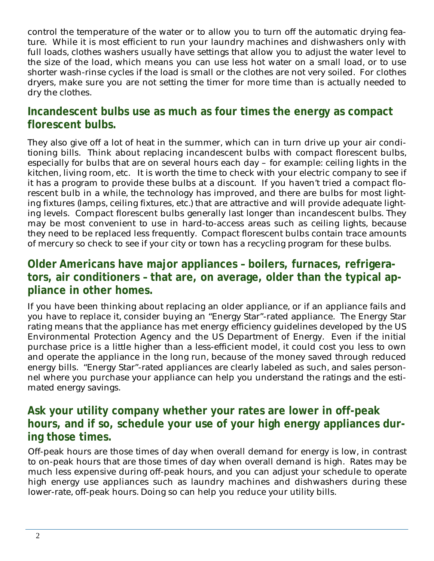control the temperature of the water or to allow you to turn off the automatic drying feature. While it is most efficient to run your laundry machines and dishwashers only with full loads, clothes washers usually have settings that allow you to adjust the water level to the size of the load, which means you can use less hot water on a small load, or to use shorter wash-rinse cycles if the load is small or the clothes are not very soiled. For clothes dryers, make sure you are not setting the timer for more time than is actually needed to dry the clothes.

#### **Incandescent bulbs use as much as four times the energy as compact florescent bulbs.**

They also give off a lot of heat in the summer, which can in turn drive up your air conditioning bills. Think about replacing incandescent bulbs with compact florescent bulbs, especially for bulbs that are on several hours each day – for example: ceiling lights in the kitchen, living room, etc. It is worth the time to check with your electric company to see if it has a program to provide these bulbs at a discount. If you haven't tried a compact florescent bulb in a while, the technology has improved, and there are bulbs for most lighting fixtures (lamps, ceiling fixtures, etc.) that are attractive and will provide adequate lighting levels. Compact florescent bulbs generally last longer than incandescent bulbs. They may be most convenient to use in hard-to-access areas such as ceiling lights, because they need to be replaced less frequently. Compact florescent bulbs contain trace amounts of mercury so check to see if your city or town has a recycling program for these bulbs.

#### **Older Americans have major appliances – boilers, furnaces, refrigerators, air conditioners – that are, on average, older than the typical appliance in other homes.**

If you have been thinking about replacing an older appliance, or if an appliance fails and you have to replace it, consider buying an "Energy Star"-rated appliance. The Energy Star rating means that the appliance has met energy efficiency guidelines developed by the US Environmental Protection Agency and the US Department of Energy. Even if the initial purchase price is a little higher than a less-efficient model, it could cost you less to own and operate the appliance in the long run, because of the money saved through reduced energy bills. "Energy Star"-rated appliances are clearly labeled as such, and sales personnel where you purchase your appliance can help you understand the ratings and the estimated energy savings.

#### **Ask your utility company whether your rates are lower in off-peak hours, and if so, schedule your use of your high energy appliances during those times.**

Off-peak hours are those times of day when overall demand for energy is low, in contrast to on-peak hours that are those times of day when overall demand is high. Rates may be much less expensive during off-peak hours, and you can adjust your schedule to operate high energy use appliances such as laundry machines and dishwashers during these lower-rate, off-peak hours. Doing so can help you reduce your utility bills.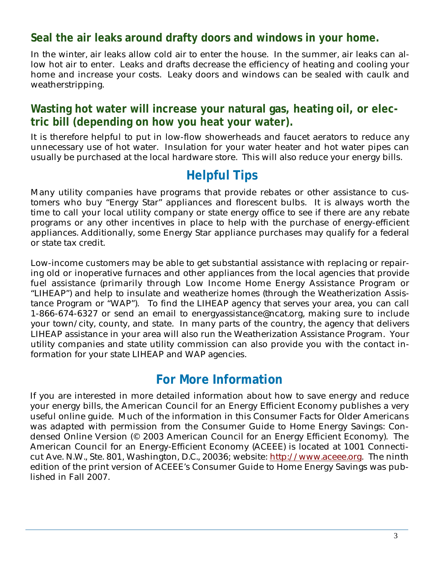#### **Seal the air leaks around drafty doors and windows in your home.**

In the winter, air leaks allow cold air to enter the house. In the summer, air leaks can allow hot air to enter. Leaks and drafts decrease the efficiency of heating and cooling your home and increase your costs. Leaky doors and windows can be sealed with caulk and weatherstripping.

#### **Wasting hot water will increase your natural gas, heating oil, or electric bill (depending on how you heat your water).**

It is therefore helpful to put in low-flow showerheads and faucet aerators to reduce any unnecessary use of hot water. Insulation for your water heater and hot water pipes can usually be purchased at the local hardware store. This will also reduce your energy bills.

### **Helpful Tips**

Many utility companies have programs that provide rebates or other assistance to customers who buy "Energy Star" appliances and florescent bulbs. It is always worth the time to call your local utility company or state energy office to see if there are any rebate programs or any other incentives in place to help with the purchase of energy-efficient appliances. Additionally, some Energy Star appliance purchases may qualify for a federal or state tax credit.

Low-income customers may be able to get substantial assistance with replacing or repairing old or inoperative furnaces and other appliances from the local agencies that provide fuel assistance (primarily through Low Income Home Energy Assistance Program or "LIHEAP") and help to insulate and weatherize homes (through the Weatherization Assistance Program or "WAP"). To find the LIHEAP agency that serves your area, you can call 1-866-674-6327 or send an email to energyassistance@ncat.org, making sure to include your town/city, county, and state. In many parts of the country, the agency that delivers LIHEAP assistance in your area will also run the Weatherization Assistance Program. Your utility companies and state utility commission can also provide you with the contact information for your state LIHEAP and WAP agencies.

### **For More Information**

If you are interested in more detailed information about how to save energy and reduce your energy bills, the American Council for an Energy Efficient Economy publishes a very useful online guide. Much of the information in this Consumer Facts for Older Americans was adapted with permission from the Consumer Guide to Home Energy Savings: Condensed Online Version (© 2003 American Council for an Energy Efficient Economy). The American Council for an Energy-Efficient Economy (ACEEE) is located at 1001 Connecticut Ave. N.W., Ste. 801, Washington, D.C., 20036; website: http://www.aceee.org. The ninth edition of the print version of ACEEE's Consumer Guide to Home Energy Savings was published in Fall 2007.